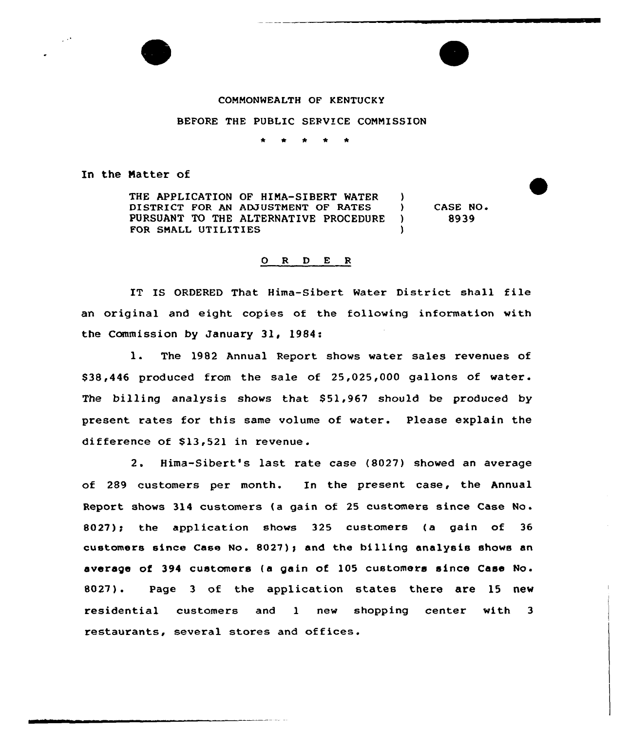

## COMMONWEALTH OF KENTUCKY

## BEFORE THE PUBLIC SERVICE CONNISSION

## In the Natter of

THE APPLICATION OF HINA-SIBERT WATER DISTRICT FOR AN ADJUSTNENT OF RATES PURSUANT TO THE ALTERNATIVE PROCEDURE FOR SHALL UTILITIES )<br>) ) CASE NO <sup>~</sup> ) 8939 )

## O R D E R

IT IS ORDERED That Hima-Sibert Water District shall fi le an original and eight copies of the following information with the Commission by January 31, 1984:

1. The <sup>1982</sup> Annual Report shows water sales revenues of \$ 38,446 produced from the sale of 25,025,000 gallons of water. The billing analysis shows that 851,967 should be produced by present rates for this same volume of water. Please explain the difference of \$13,521 in revenue.

2. Hima-Sibert's last rate case (8027) showed an average of 289 customers per month. In the present case, the Annual Report shows <sup>314</sup> customers (a gain of <sup>25</sup> customers since Case No . 8027)» the application shows 325 customers (a gain of 36 customers since Case No. 8027)» and the billing analysis shows an average of 394 customers (a gain of 105 customers since Case No. 8027). Page 3 of the application states there are 15 new residential customers and 1 new shopping center with 3 restaurants, several stores and offices.